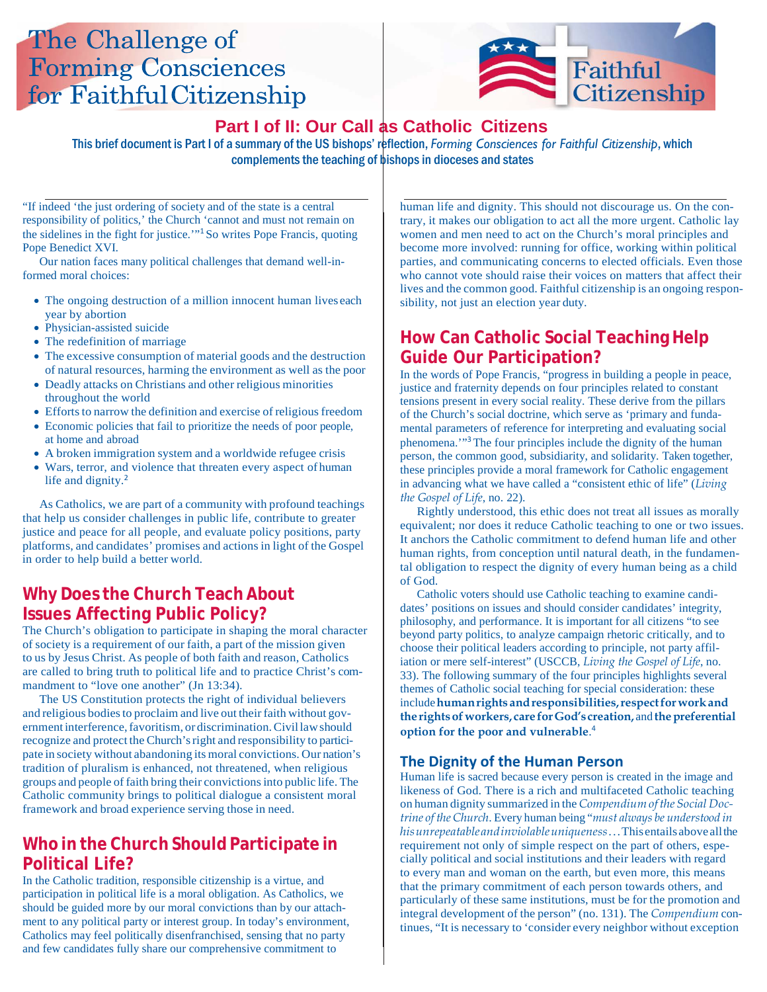# The Challenge of **Forming Consciences** for Faithful Citizenship



## **Part I of II: Our Call as Catholic Citizens**

This brief document is Part I of a summary of the US bishops' reflection, *Forming Consciences for Faithful Citizenship*, which complements the teaching of bishops in dioceses and states

"If indeed 'the just ordering of society and of the state is a central responsibility of politics,' the Church 'cannot and must not remain on the sidelines in the fight for justice.'"<sup>1</sup>So writes Pope Francis, quoting Pope Benedict XVI.

Our nation faces many political challenges that demand well-informed moral choices:

- The ongoing destruction of a million innocent human lives each year by abortion
- Physician-assisted suicide
- The redefinition of marriage
- The excessive consumption of material goods and the destruction of natural resources, harming the environment as well as the poor
- Deadly attacks on Christians and other religious minorities throughout the world
- Efforts to narrow the definition and exercise of religious freedom
- Economic policies that fail to prioritize the needs of poor people, at home and abroad
- A broken immigration system and a worldwide refugee crisis
- Wars, terror, and violence that threaten every aspect of human life and dignity.<sup>2</sup>

As Catholics, we are part of a community with profound teachings that help us consider challenges in public life, contribute to greater justice and peace for all people, and evaluate policy positions, party platforms, and candidates' promises and actions in light of the Gospel in order to help build a better world.

## **Why Does the Church Teach About Issues Affecting Public Policy?**

The Church's obligation to participate in shaping the moral character of society is a requirement of our faith, a part of the mission given to us by Jesus Christ. As people of both faith and reason, Catholics are called to bring truth to political life and to practice Christ's commandment to "love one another" (Jn 13:34).

The US Constitution protects the right of individual believers and religious bodies to proclaim and live out their faith without governmentinterference,favoritism, ordiscrimination.Civillawshould recognize and protect the Church's right and responsibility to participate in society without abandoning its moral convictions. Our nation's tradition of pluralism is enhanced, not threatened, when religious groups and people of faith bring their convictionsinto public life. The Catholic community brings to political dialogue a consistent moral framework and broad experience serving those in need.

## **Who in the Church Should Participate in Political Life?**

In the Catholic tradition, responsible citizenship is a virtue, and participation in political life is a moral obligation. As Catholics, we should be guided more by our moral convictions than by our attachment to any political party or interest group. In today's environment, Catholics may feel politically disenfranchised, sensing that no party and few candidates fully share our comprehensive commitment to

human life and dignity. This should not discourage us. On the contrary, it makes our obligation to act all the more urgent. Catholic lay women and men need to act on the Church's moral principles and become more involved: running for office, working within political parties, and communicating concerns to elected officials. Even those who cannot vote should raise their voices on matters that affect their lives and the common good. Faithful citizenship is an ongoing responsibility, not just an election year duty.

## **How Can Catholic Social Teaching Help Guide Our Participation?**

In the words of Pope Francis, "progress in building a people in peace, justice and fraternity depends on four principles related to constant tensions present in every social reality. These derive from the pillars of the Church's social doctrine, which serve as 'primary and fundamental parameters of reference for interpreting and evaluating social phenomena.'"<sup>3</sup>The four principles include the dignity of the human person, the common good, subsidiarity, and solidarity. Taken together, these principles provide a moral framework for Catholic engagement in advancing what we have called a "consistent ethic of life" (*Living the Gospel of Life*, no. 22).

Rightly understood, this ethic does not treat all issues as morally equivalent; nor does it reduce Catholic teaching to one or two issues. It anchors the Catholic commitment to defend human life and other human rights, from conception until natural death, in the fundamental obligation to respect the dignity of every human being as a child of God.

Catholic voters should use Catholic teaching to examine candidates' positions on issues and should consider candidates' integrity, philosophy, and performance. It is important for all citizens "to see beyond party politics, to analyze campaign rhetoric critically, and to choose their political leaders according to principle, not party affiliation or mere self-interest" (USCCB, *Living the Gospel of Life*, no. 33). The following summary of the four principles highlights several themes of Catholic social teaching for special consideration: these include**humanrights andresponsibilities,respectforworkand the rightsofworkers, care forGod's creation,** and **thepreferential option for the poor and vulnerable**. 4

#### **The Dignity of the Human Person**

Human life is sacred because every person is created in the image and likeness of God. There is a rich and multifaceted Catholic teaching on human dignity summarized in the *Compendiumofthe Social Doctrine of the Church*. Every human being "*must always be understood in hisunrepeatableandinviolableuniqueness*...Thisentailsaboveallthe requirement not only of simple respect on the part of others, especially political and social institutions and their leaders with regard to every man and woman on the earth, but even more, this means that the primary commitment of each person towards others, and particularly of these same institutions, must be for the promotion and integral development of the person" (no. 131). The *Compendium* continues, "It is necessary to 'consider every neighbor without exception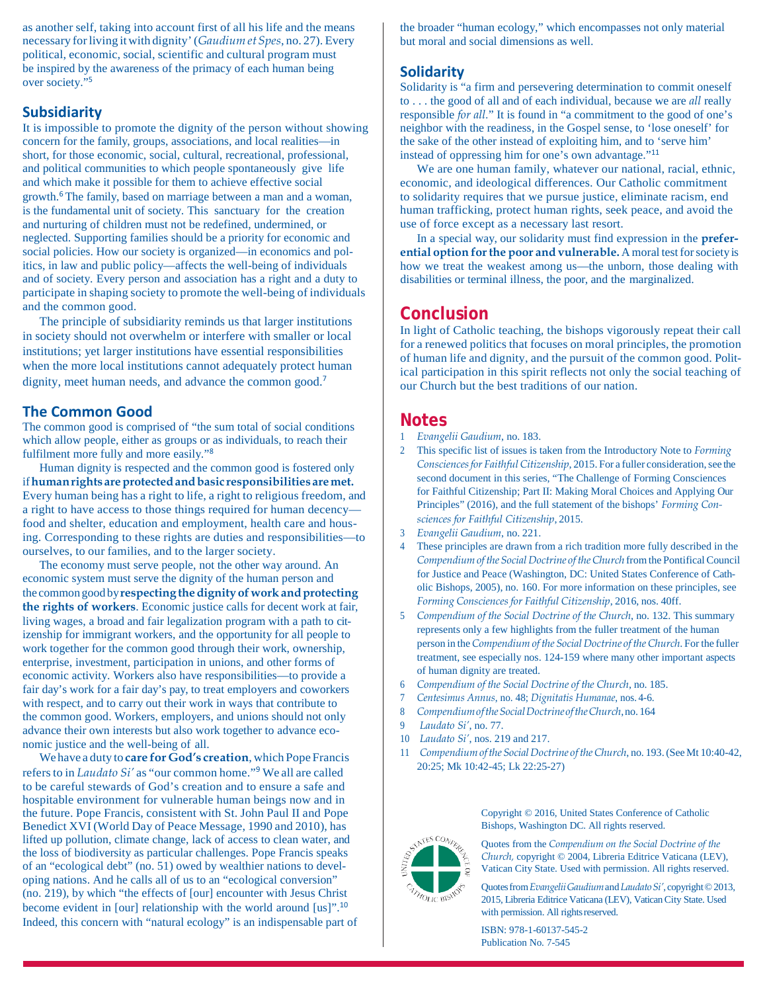as another self, taking into account first of all his life and the means necessary forliving itwith dignity'(*GaudiumetSpes*, no. 27). Every political, economic, social, scientific and cultural program must be inspired by the awareness of the primacy of each human being over society."<sup>5</sup>

#### **Subsidiarity**

It is impossible to promote the dignity of the person without showing concern for the family, groups, associations, and local realities—in short, for those economic, social, cultural, recreational, professional, and political communities to which people spontaneously give life and which make it possible for them to achieve effective social growth.<sup>6</sup> The family, based on marriage between a man and a woman, is the fundamental unit of society. This sanctuary for the creation and nurturing of children must not be redefined, undermined, or neglected. Supporting families should be a priority for economic and social policies. How our society is organized—in economics and politics, in law and public policy—affects the well-being of individuals and of society. Every person and association has a right and a duty to participate in shaping society to promote the well-being of individuals and the common good.

The principle of subsidiarity reminds us that larger institutions in society should not overwhelm or interfere with smaller or local institutions; yet larger institutions have essential responsibilities when the more local institutions cannot adequately protect human dignity, meet human needs, and advance the common good.<sup>7</sup>

#### **The Common Good**

The common good is comprised of "the sum total of social conditions which allow people, either as groups or as individuals, to reach their fulfilment more fully and more easily."<sup>8</sup>

Human dignity is respected and the common good is fostered only if**humanrights areprotectedandbasic responsibilities aremet.** Every human being has a right to life, a right to religious freedom, and a right to have access to those things required for human decency food and shelter, education and employment, health care and housing. Corresponding to these rights are duties and responsibilities—to ourselves, to our families, and to the larger society.

The economy must serve people, not the other way around. An economic system must serve the dignity of the human person and the common goodby**respecting thedignity of workandprotecting the rights of workers**. Economic justice calls for decent work at fair, living wages, a broad and fair legalization program with a path to citizenship for immigrant workers, and the opportunity for all people to work together for the common good through their work, ownership, enterprise, investment, participation in unions, and other forms of economic activity. Workers also have responsibilities—to provide a fair day's work for a fair day's pay, to treat employers and coworkers with respect, and to carry out their work in ways that contribute to the common good. Workers, employers, and unions should not only advance their own interests but also work together to advance economic justice and the well-being of all.

We have a duty to **care for God's creation**, which Pope Francis refersto in *Laudato Si'* as "our common home."<sup>9</sup> We all are called to be careful stewards of God's creation and to ensure a safe and hospitable environment for vulnerable human beings now and in the future. Pope Francis, consistent with St. John Paul II and Pope Benedict XVI (World Day of Peace Message, 1990 and 2010), has lifted up pollution, climate change, lack of access to clean water, and the loss of biodiversity as particular challenges. Pope Francis speaks of an "ecological debt" (no. 51) owed by wealthier nations to developing nations. And he calls all of us to an "ecological conversion" (no. 219), by which "the effects of [our] encounter with Jesus Christ become evident in [our] relationship with the world around [us]".<sup>10</sup> Indeed, this concern with "natural ecology" is an indispensable part of the broader "human ecology," which encompasses not only material but moral and social dimensions as well.

#### **Solidarity**

Solidarity is "a firm and persevering determination to commit oneself to . . . the good of all and of each individual, because we are *all* really responsible *for all.*" It is found in "a commitment to the good of one's neighbor with the readiness, in the Gospel sense, to 'lose oneself' for the sake of the other instead of exploiting him, and to 'serve him' instead of oppressing him for one's own advantage."<sup>11</sup>

We are one human family, whatever our national, racial, ethnic, economic, and ideological differences. Our Catholic commitment to solidarity requires that we pursue justice, eliminate racism, end human trafficking, protect human rights, seek peace, and avoid the use of force except as a necessary last resort.

In a special way, our solidarity must find expression in the **preferential option forthe poor and vulnerable.** Amoral testforsociety is how we treat the weakest among us—the unborn, those dealing with disabilities or terminal illness, the poor, and the marginalized.

### **Conclusion**

In light of Catholic teaching, the bishops vigorously repeat their call for a renewed politics that focuses on moral principles, the promotion of human life and dignity, and the pursuit of the common good. Political participation in this spirit reflects not only the social teaching of our Church but the best traditions of our nation.

#### **Notes**

- 1 *Evangelii Gaudium*, no. 183.
- 2 This specific list of issues is taken from the Introductory Note to *Forming Consciences for Faithful Citizenship*, 2015. For a fuller consideration, see the second document in this series, "The Challenge of Forming Consciences for Faithful Citizenship; Part II: Making Moral Choices and Applying Our Principles" (2016), and the full statement of the bishops' *Forming Consciences for Faithful Citizenship*, 2015.
- 3 *Evangelii Gaudium*, no. 221.
- These principles are drawn from a rich tradition more fully described in the *Compendium of the Social Doctrine of theChurch* fromthe Pontifical Council for Justice and Peace (Washington, DC: United States Conference of Catholic Bishops, 2005), no. 160. For more information on these principles, see *Forming Consciences for Faithful Citizenship*, 2016, nos. 40ff.
- 5 *Compendium of the Social Doctrine of the Church*, no. 132. This summary represents only a few highlights from the fuller treatment of the human person in the*Compendium of the Social Doctrine of the Church*. For the fuller treatment, see especially nos. 124-159 where many other important aspects of human dignity are treated.
- 6 *Compendium of the Social Doctrine of the Church*, no. 185.
- 7 *Centesimus Annus*, no. 48; *Dignitatis Humanae*, nos. 4-6.
- 8 *CompendiumoftheSocialDoctrine oftheChurch*,no. 164
- 9 *Laudato Si'*, no. 77.
- 10 *Laudato Si'*, nos. 219 and 217.
- 11 *Compendiumofthe Social Doctrine oftheChurch*, no. 193.(SeeMt 10:40-42, 20:25; Mk 10:42-45; Lk 22:25-27)

Copyright © 2016, United States Conference of Catholic Bishops, Washington DC. All rights reserved.



Quotes from the *Compendium on the Social Doctrine of the Church,* copyright © 2004, Libreria Editrice Vaticana (LEV), Vatican City State. Used with permission. All rights reserved.

Quotesfrom*EvangeliiGaudium*and*LaudatoSi'*, copyright©2013, 2015, Libreria Editrice Vaticana (LEV), Vatican City State. Used with permission. All rights reserved.

ISBN: 978-1-60137-545-2 Publication No. 7-545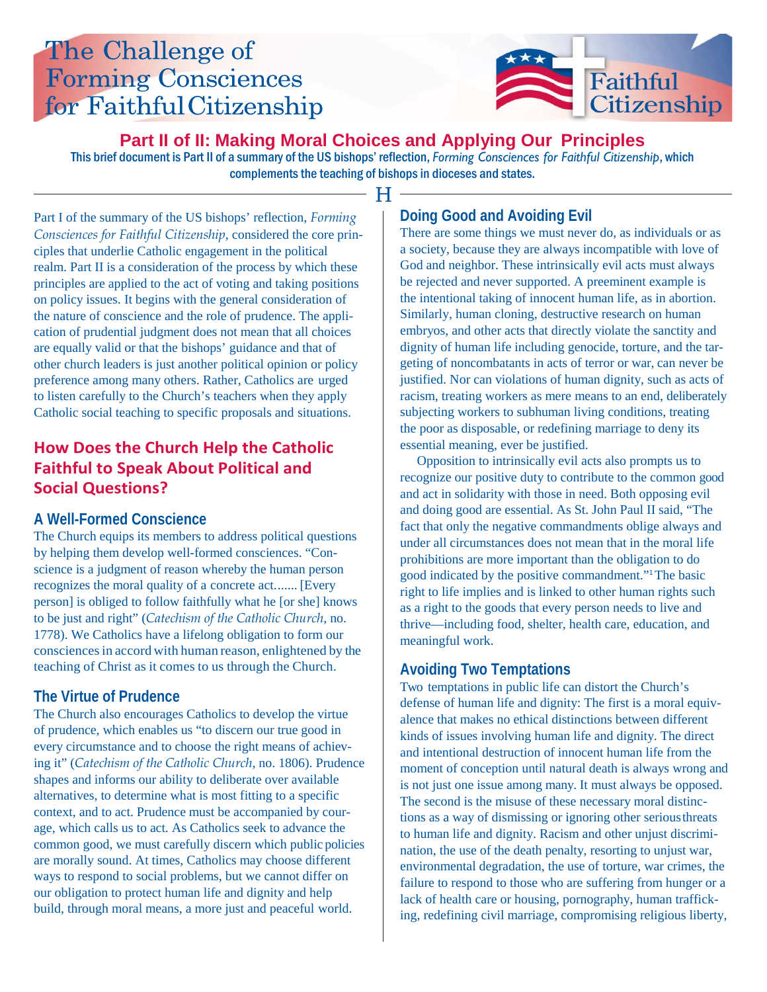# The Challenge of **Forming Consciences** for Faithful Citizenship



**Part II of II: Making Moral Choices and Applying Our Principles**

 $\blacksquare$ 

This brief document is Part II of a summary of the US bishops' reflection, *Forming Consciences for Faithful Citizenship*, which complements the teaching of bishops in dioceses and states.

Part I of the summary of the US bishops' reflection, *Forming Consciences for Faithful Citizenship*, considered the core principles that underlie Catholic engagement in the political realm. Part II is a consideration of the process by which these principles are applied to the act of voting and taking positions on policy issues. It begins with the general consideration of the nature of conscience and the role of prudence. The application of prudential judgment does not mean that all choices are equally valid or that the bishops' guidance and that of other church leaders is just another political opinion or policy preference among many others. Rather, Catholics are urged to listen carefully to the Church's teachers when they apply Catholic social teaching to specific proposals and situations.

## **How Does the Church Help the Catholic Faithful to Speak About Political and Social Questions?**

### **A Well-Formed Conscience**

The Church equips its members to address political questions by helping them develop well-formed consciences. "Conscience is a judgment of reason whereby the human person recognizes the moral quality of a concrete act....... [Every person] is obliged to follow faithfully what he [or she] knows to be just and right" (*Catechism of the Catholic Church*, no. 1778). We Catholics have a lifelong obligation to form our consciencesin accord with human reason, enlightened by the teaching of Christ as it comes to us through the Church.

## **The Virtue of Prudence**

The Church also encourages Catholics to develop the virtue of prudence, which enables us "to discern our true good in every circumstance and to choose the right means of achieving it" (*Catechism of the Catholic Church*, no. 1806). Prudence shapes and informs our ability to deliberate over available alternatives, to determine what is most fitting to a specific context, and to act. Prudence must be accompanied by courage, which calls us to act. As Catholics seek to advance the common good, we must carefully discern which public policies are morally sound. At times, Catholics may choose different ways to respond to social problems, but we cannot differ on our obligation to protect human life and dignity and help build, through moral means, a more just and peaceful world.

# **Doing Good and Avoiding Evil**

There are some things we must never do, as individuals or as a society, because they are always incompatible with love of God and neighbor. These intrinsically evil acts must always be rejected and never supported. A preeminent example is the intentional taking of innocent human life, as in abortion. Similarly, human cloning, destructive research on human embryos, and other acts that directly violate the sanctity and dignity of human life including genocide, torture, and the targeting of noncombatants in acts of terror or war, can never be justified. Nor can violations of human dignity, such as acts of racism, treating workers as mere means to an end, deliberately subjecting workers to subhuman living conditions, treating the poor as disposable, or redefining marriage to deny its essential meaning, ever be justified.

Opposition to intrinsically evil acts also prompts us to recognize our positive duty to contribute to the common good and act in solidarity with those in need. Both opposing evil and doing good are essential. As St. John Paul II said, "The fact that only the negative commandments oblige always and under all circumstances does not mean that in the moral life prohibitions are more important than the obligation to do good indicated by the positive commandment."1 The basic right to life implies and is linked to other human rights such as a right to the goods that every person needs to live and thrive—including food, shelter, health care, education, and meaningful work.

## **Avoiding Two Temptations**

Two temptations in public life can distort the Church's defense of human life and dignity: The first is a moral equivalence that makes no ethical distinctions between different kinds of issues involving human life and dignity. The direct and intentional destruction of innocent human life from the moment of conception until natural death is always wrong and is not just one issue among many. It must always be opposed. The second is the misuse of these necessary moral distinctions as a way of dismissing or ignoring other seriousthreats to human life and dignity. Racism and other unjust discrimination, the use of the death penalty, resorting to unjust war, environmental degradation, the use of torture, war crimes, the failure to respond to those who are suffering from hunger or a lack of health care or housing, pornography, human trafficking, redefining civil marriage, compromising religious liberty,